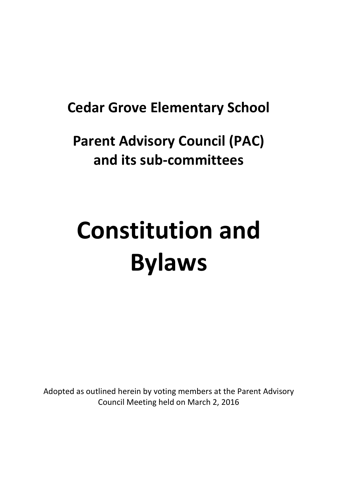# **Cedar Grove Elementary School**

# **Parent Advisory Council (PAC) and its sub-committees**

# **Constitution and Bylaws**

Adopted as outlined herein by voting members at the Parent Advisory Council Meeting held on March 2, 2016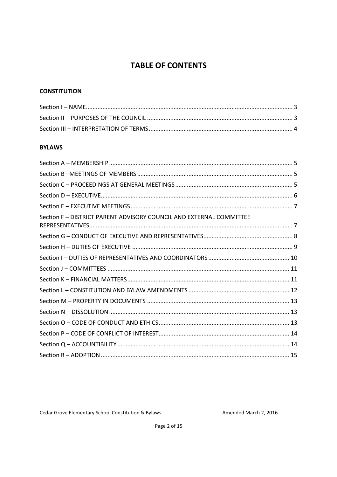# **TABLE OF CONTENTS**

#### **CONSTITUTION**

#### **BYLAWS**

| Section F - DISTRICT PARENT ADVISORY COUNCIL AND EXTERNAL COMMITTEE |  |
|---------------------------------------------------------------------|--|
|                                                                     |  |
|                                                                     |  |
|                                                                     |  |
|                                                                     |  |
|                                                                     |  |
|                                                                     |  |
|                                                                     |  |
|                                                                     |  |
|                                                                     |  |
|                                                                     |  |
|                                                                     |  |
|                                                                     |  |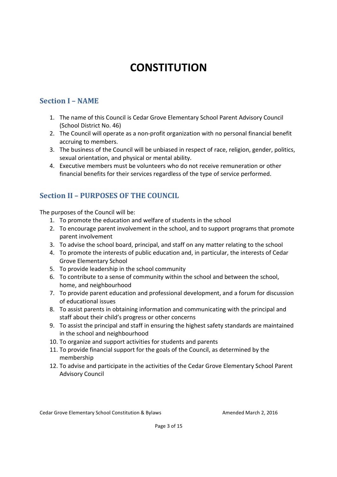# **CONSTITUTION**

# **Section I – NAME**

- 1. The name of this Council is Cedar Grove Elementary School Parent Advisory Council (School District No. 46)
- 2. The Council will operate as a non-profit organization with no personal financial benefit accruing to members.
- 3. The business of the Council will be unbiased in respect of race, religion, gender, politics, sexual orientation, and physical or mental ability.
- 4. Executive members must be volunteers who do not receive remuneration or other financial benefits for their services regardless of the type of service performed.

# **Section II – PURPOSES OF THE COUNCIL**

The purposes of the Council will be:

- 1. To promote the education and welfare of students in the school
- 2. To encourage parent involvement in the school, and to support programs that promote parent involvement
- 3. To advise the school board, principal, and staff on any matter relating to the school
- 4. To promote the interests of public education and, in particular, the interests of Cedar Grove Elementary School
- 5. To provide leadership in the school community
- 6. To contribute to a sense of community within the school and between the school, home, and neighbourhood
- 7. To provide parent education and professional development, and a forum for discussion of educational issues
- 8. To assist parents in obtaining information and communicating with the principal and staff about their child's progress or other concerns
- 9. To assist the principal and staff in ensuring the highest safety standards are maintained in the school and neighbourhood
- 10. To organize and support activities for students and parents
- 11. To provide financial support for the goals of the Council, as determined by the membership
- 12. To advise and participate in the activities of the Cedar Grove Elementary School Parent Advisory Council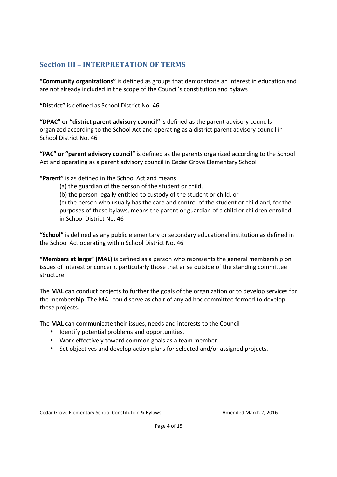# **Section III – INTERPRETATION OF TERMS**

**"Community organizations"** is defined as groups that demonstrate an interest in education and are not already included in the scope of the Council's constitution and bylaws

**"District"** is defined as School District No. 46

**"DPAC" or "district parent advisory council"** is defined as the parent advisory councils organized according to the School Act and operating as a district parent advisory council in School District No. 46

**"PAC" or "parent advisory council"** is defined as the parents organized according to the School Act and operating as a parent advisory council in Cedar Grove Elementary School

**"Parent"** is as defined in the School Act and means

(a) the guardian of the person of the student or child,

(b) the person legally entitled to custody of the student or child, or

(c) the person who usually has the care and control of the student or child and, for the purposes of these bylaws, means the parent or guardian of a child or children enrolled in School District No. 46

**"School"** is defined as any public elementary or secondary educational institution as defined in the School Act operating within School District No. 46

**"Members at large" (MAL)** is defined as a person who represents the general membership on issues of interest or concern, particularly those that arise outside of the standing committee structure.

The **MAL** can conduct projects to further the goals of the organization or to develop services for the membership. The MAL could serve as chair of any ad hoc committee formed to develop these projects.

The **MAL** can communicate their issues, needs and interests to the Council

- Identify potential problems and opportunities.
- Work effectively toward common goals as a team member.
- Set objectives and develop action plans for selected and/or assigned projects.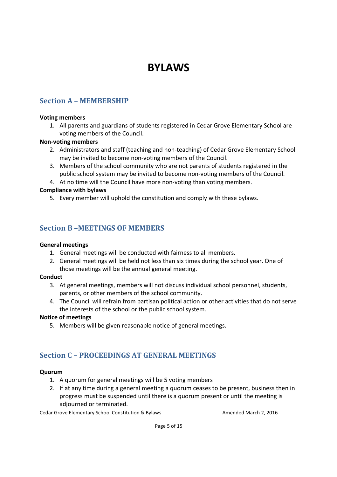# **BYLAWS**

# **Section A – MEMBERSHIP**

#### **Voting members**

1. All parents and guardians of students registered in Cedar Grove Elementary School are voting members of the Council.

#### **Non-voting members**

- 2. Administrators and staff (teaching and non-teaching) of Cedar Grove Elementary School may be invited to become non-voting members of the Council.
- 3. Members of the school community who are not parents of students registered in the public school system may be invited to become non-voting members of the Council.
- 4. At no time will the Council have more non-voting than voting members.

#### **Compliance with bylaws**

5. Every member will uphold the constitution and comply with these bylaws.

### **Section B –MEETINGS OF MEMBERS**

#### **General meetings**

- 1. General meetings will be conducted with fairness to all members.
- 2. General meetings will be held not less than six times during the school year. One of those meetings will be the annual general meeting.

#### **Conduct**

- 3. At general meetings, members will not discuss individual school personnel, students, parents, or other members of the school community.
- 4. The Council will refrain from partisan political action or other activities that do not serve the interests of the school or the public school system.

#### **Notice of meetings**

5. Members will be given reasonable notice of general meetings.

## **Section C – PROCEEDINGS AT GENERAL MEETINGS**

#### **Quorum**

- 1. A quorum for general meetings will be 5 voting members
- 2. If at any time during a general meeting a quorum ceases to be present, business then in progress must be suspended until there is a quorum present or until the meeting is adjourned or terminated.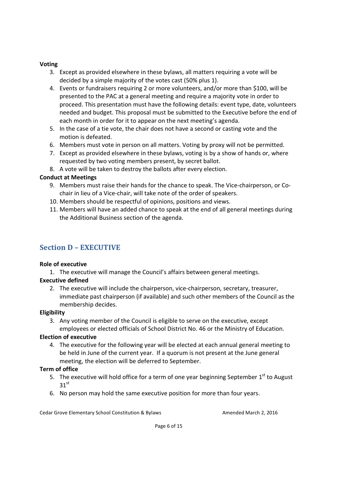#### **Voting**

- 3. Except as provided elsewhere in these bylaws, all matters requiring a vote will be decided by a simple majority of the votes cast (50% plus 1).
- 4. Events or fundraisers requiring 2 or more volunteers, and/or more than \$100, will be presented to the PAC at a general meeting and require a majority vote in order to proceed. This presentation must have the following details: event type, date, volunteers needed and budget. This proposal must be submitted to the Executive before the end of each month in order for it to appear on the next meeting's agenda.
- 5. In the case of a tie vote, the chair does not have a second or casting vote and the motion is defeated.
- 6. Members must vote in person on all matters. Voting by proxy will not be permitted.
- 7. Except as provided elsewhere in these bylaws, voting is by a show of hands or, where requested by two voting members present, by secret ballot.
- 8. A vote will be taken to destroy the ballots after every election.

#### **Conduct at Meetings**

- 9. Members must raise their hands for the chance to speak. The Vice-chairperson, or Cochair in lieu of a Vice-chair, will take note of the order of speakers.
- 10. Members should be respectful of opinions, positions and views.
- 11. Members will have an added chance to speak at the end of all general meetings during the Additional Business section of the agenda.

# **Section D – EXECUTIVE**

#### **Role of executive**

1. The executive will manage the Council's affairs between general meetings.

#### **Executive defined**

2. The executive will include the chairperson, vice-chairperson, secretary, treasurer, immediate past chairperson (if available) and such other members of the Council as the membership decides.

#### **Eligibility**

3. Any voting member of the Council is eligible to serve on the executive, except employees or elected officials of School District No. 46 or the Ministry of Education.

#### **Election of executive**

4. The executive for the following year will be elected at each annual general meeting to be held in June of the current year. If a quorum is not present at the June general meeting, the election will be deferred to September.

#### **Term of office**

- 5. The executive will hold office for a term of one year beginning September  $1<sup>st</sup>$  to August  $31<sup>st</sup>$
- 6. No person may hold the same executive position for more than four years.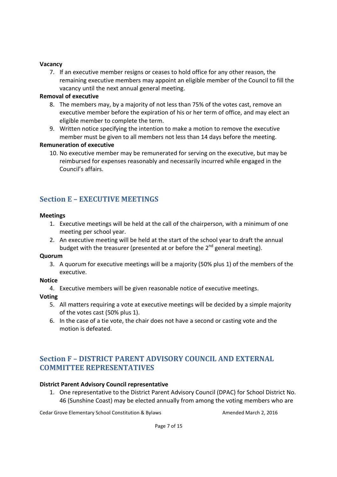#### **Vacancy**

7. If an executive member resigns or ceases to hold office for any other reason, the remaining executive members may appoint an eligible member of the Council to fill the vacancy until the next annual general meeting.

#### **Removal of executive**

- 8. The members may, by a majority of not less than 75% of the votes cast, remove an executive member before the expiration of his or her term of office, and may elect an eligible member to complete the term.
- 9. Written notice specifying the intention to make a motion to remove the executive member must be given to all members not less than 14 days before the meeting.

#### **Remuneration of executive**

10. No executive member may be remunerated for serving on the executive, but may be reimbursed for expenses reasonably and necessarily incurred while engaged in the Council's affairs.

# **Section E – EXECUTIVE MEETINGS**

#### **Meetings**

- 1. Executive meetings will be held at the call of the chairperson, with a minimum of one meeting per school year.
- 2. An executive meeting will be held at the start of the school year to draft the annual budget with the treasurer (presented at or before the  $2^{nd}$  general meeting).

#### **Quorum**

3. A quorum for executive meetings will be a majority (50% plus 1) of the members of the executive.

#### **Notice**

4. Executive members will be given reasonable notice of executive meetings.

#### **Voting**

- 5. All matters requiring a vote at executive meetings will be decided by a simple majority of the votes cast (50% plus 1).
- 6. In the case of a tie vote, the chair does not have a second or casting vote and the motion is defeated.

# **Section F – DISTRICT PARENT ADVISORY COUNCIL AND EXTERNAL COMMITTEE REPRESENTATIVES**

#### **District Parent Advisory Council representative**

1. One representative to the District Parent Advisory Council (DPAC) for School District No. 46 (Sunshine Coast) may be elected annually from among the voting members who are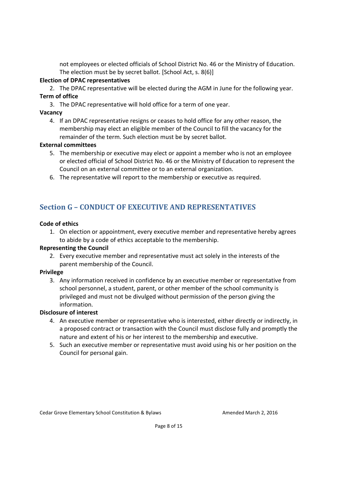not employees or elected officials of School District No. 46 or the Ministry of Education. The election must be by secret ballot. [School Act, s. 8(6)]

#### **Election of DPAC representatives**

2. The DPAC representative will be elected during the AGM in June for the following year. **Term of office** 

3. The DPAC representative will hold office for a term of one year.

#### **Vacancy**

4. If an DPAC representative resigns or ceases to hold office for any other reason, the membership may elect an eligible member of the Council to fill the vacancy for the remainder of the term. Such election must be by secret ballot.

#### **External committees**

- 5. The membership or executive may elect or appoint a member who is not an employee or elected official of School District No. 46 or the Ministry of Education to represent the Council on an external committee or to an external organization.
- 6. The representative will report to the membership or executive as required.

# **Section G – CONDUCT OF EXECUTIVE AND REPRESENTATIVES**

#### **Code of ethics**

1. On election or appointment, every executive member and representative hereby agrees to abide by a code of ethics acceptable to the membership.

#### **Representing the Council**

2. Every executive member and representative must act solely in the interests of the parent membership of the Council.

#### **Privilege**

3. Any information received in confidence by an executive member or representative from school personnel, a student, parent, or other member of the school community is privileged and must not be divulged without permission of the person giving the information.

#### **Disclosure of interest**

- 4. An executive member or representative who is interested, either directly or indirectly, in a proposed contract or transaction with the Council must disclose fully and promptly the nature and extent of his or her interest to the membership and executive.
- 5. Such an executive member or representative must avoid using his or her position on the Council for personal gain.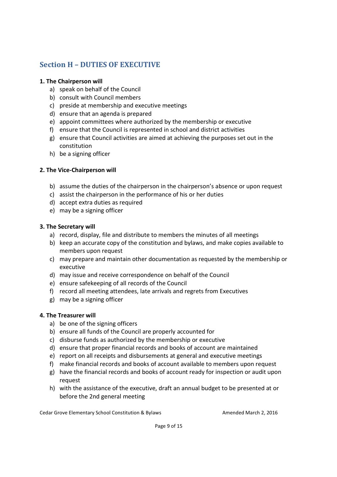# **Section H – DUTIES OF EXECUTIVE**

#### **1. The Chairperson will**

- a) speak on behalf of the Council
- b) consult with Council members
- c) preside at membership and executive meetings
- d) ensure that an agenda is prepared
- e) appoint committees where authorized by the membership or executive
- f) ensure that the Council is represented in school and district activities
- g) ensure that Council activities are aimed at achieving the purposes set out in the constitution
- h) be a signing officer

#### **2. The Vice-Chairperson will**

- b) assume the duties of the chairperson in the chairperson's absence or upon request
- c) assist the chairperson in the performance of his or her duties
- d) accept extra duties as required
- e) may be a signing officer

#### **3. The Secretary will**

- a) record, display, file and distribute to members the minutes of all meetings
- b) keep an accurate copy of the constitution and bylaws, and make copies available to members upon request
- c) may prepare and maintain other documentation as requested by the membership or executive
- d) may issue and receive correspondence on behalf of the Council
- e) ensure safekeeping of all records of the Council
- f) record all meeting attendees, late arrivals and regrets from Executives
- g) may be a signing officer

#### **4. The Treasurer will**

- a) be one of the signing officers
- b) ensure all funds of the Council are properly accounted for
- c) disburse funds as authorized by the membership or executive
- d) ensure that proper financial records and books of account are maintained
- e) report on all receipts and disbursements at general and executive meetings
- f) make financial records and books of account available to members upon request
- g) have the financial records and books of account ready for inspection or audit upon request
- h) with the assistance of the executive, draft an annual budget to be presented at or before the 2nd general meeting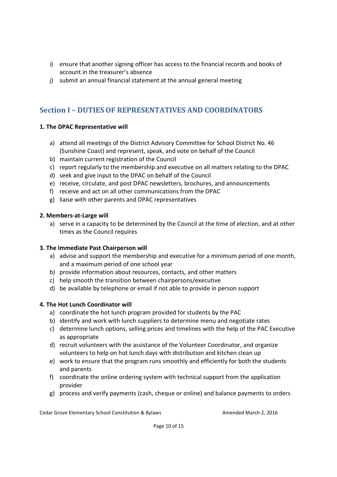- i) ensure that another signing officer has access to the financial records and books of account in the treasurer's absence
- j) submit an annual financial statement at the annual general meeting

# **Section I – DUTIES OF REPRESENTATIVES AND COORDINATORS**

#### **1. The DPAC Representative will**

- a) attend all meetings of the District Advisory Committee for School District No. 46 (Sunshine Coast) and represent, speak, and vote on behalf of the Council
- b) maintain current registration of the Council
- c) report regularly to the membership and executive on all matters relating to the DPAC
- d) seek and give input to the DPAC on behalf of the Council
- e) receive, circulate, and post DPAC newsletters, brochures, and announcements
- f) receive and act on all other communications from the DPAC
- g) liaise with other parents and DPAC representatives

#### **2. Members-at-Large will**

a) serve in a capacity to be determined by the Council at the time of election, and at other times as the Council requires

#### **3. The Immediate Past Chairperson will**

- a) advise and support the membership and executive for a minimum period of one month, and a maximum period of one school year
- b) provide information about resources, contacts, and other matters
- c) help smooth the transition between chairpersons/executive
- d) be available by telephone or email if not able to provide in person support

#### **4. The Hot Lunch Coordinator will**

- a) coordinate the hot lunch program provided for students by the PAC
- b) identify and work with lunch suppliers to determine menu and negotiate rates
- c) determine lunch options, selling prices and timelines with the help of the PAC Executive as appropriate
- d) recruit volunteers with the assistance of the Volunteer Coordinator, and organize volunteers to help on hot lunch days with distribution and kitchen clean up
- e) work to ensure that the program runs smoothly and efficiently for both the students and parents
- f) coordinate the online ordering system with technical support from the application provider
- g) process and verify payments (cash, cheque or online) and balance payments to orders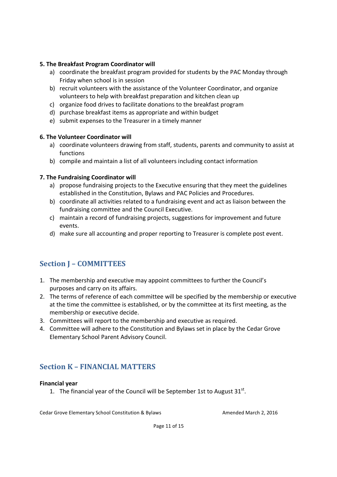#### **5. The Breakfast Program Coordinator will**

- a) coordinate the breakfast program provided for students by the PAC Monday through Friday when school is in session
- b) recruit volunteers with the assistance of the Volunteer Coordinator, and organize volunteers to help with breakfast preparation and kitchen clean up
- c) organize food drives to facilitate donations to the breakfast program
- d) purchase breakfast items as appropriate and within budget
- e) submit expenses to the Treasurer in a timely manner

#### **6. The Volunteer Coordinator will**

- a) coordinate volunteers drawing from staff, students, parents and community to assist at functions
- b) compile and maintain a list of all volunteers including contact information

#### **7. The Fundraising Coordinator will**

- a) propose fundraising projects to the Executive ensuring that they meet the guidelines established in the Constitution, Bylaws and PAC Policies and Procedures.
- b) coordinate all activities related to a fundraising event and act as liaison between the fundraising committee and the Council Executive.
- c) maintain a record of fundraising projects, suggestions for improvement and future events.
- d) make sure all accounting and proper reporting to Treasurer is complete post event.

# **Section J – COMMITTEES**

- 1. The membership and executive may appoint committees to further the Council's purposes and carry on its affairs.
- 2. The terms of reference of each committee will be specified by the membership or executive at the time the committee is established, or by the committee at its first meeting, as the membership or executive decide.
- 3. Committees will report to the membership and executive as required.
- 4. Committee will adhere to the Constitution and Bylaws set in place by the Cedar Grove Elementary School Parent Advisory Council.

## **Section K – FINANCIAL MATTERS**

#### **Financial year**

1. The financial year of the Council will be September 1st to August  $31^{st}$ .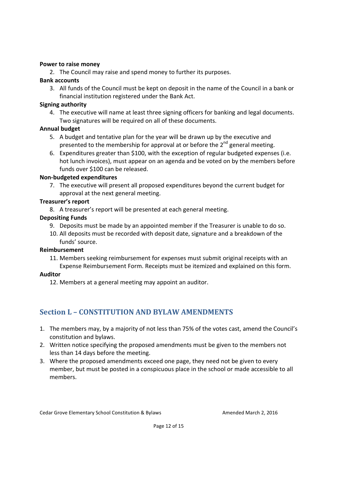#### **Power to raise money**

2. The Council may raise and spend money to further its purposes.

#### **Bank accounts**

3. All funds of the Council must be kept on deposit in the name of the Council in a bank or financial institution registered under the Bank Act.

#### **Signing authority**

4. The executive will name at least three signing officers for banking and legal documents. Two signatures will be required on all of these documents.

#### **Annual budget**

- 5. A budget and tentative plan for the year will be drawn up by the executive and presented to the membership for approval at or before the  $2^{nd}$  general meeting.
- 6. Expenditures greater than \$100, with the exception of regular budgeted expenses (i.e. hot lunch invoices), must appear on an agenda and be voted on by the members before funds over \$100 can be released.

#### **Non-budgeted expenditures**

7. The executive will present all proposed expenditures beyond the current budget for approval at the next general meeting.

#### **Treasurer's report**

8. A treasurer's report will be presented at each general meeting.

#### **Depositing Funds**

- 9. Deposits must be made by an appointed member if the Treasurer is unable to do so.
- 10. All deposits must be recorded with deposit date, signature and a breakdown of the funds' source.

#### **Reimbursement**

11. Members seeking reimbursement for expenses must submit original receipts with an Expense Reimbursement Form. Receipts must be itemized and explained on this form.

#### **Auditor**

12. Members at a general meeting may appoint an auditor.

# **Section L – CONSTITUTION AND BYLAW AMENDMENTS**

- 1. The members may, by a majority of not less than 75% of the votes cast, amend the Council's constitution and bylaws.
- 2. Written notice specifying the proposed amendments must be given to the members not less than 14 days before the meeting.
- 3. Where the proposed amendments exceed one page, they need not be given to every member, but must be posted in a conspicuous place in the school or made accessible to all members.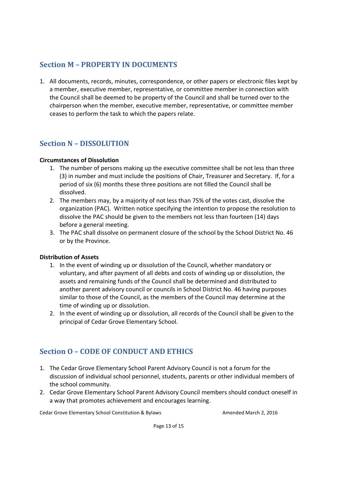# **Section M – PROPERTY IN DOCUMENTS**

1. All documents, records, minutes, correspondence, or other papers or electronic files kept by a member, executive member, representative, or committee member in connection with the Council shall be deemed to be property of the Council and shall be turned over to the chairperson when the member, executive member, representative, or committee member ceases to perform the task to which the papers relate.

## **Section N – DISSOLUTION**

#### **Circumstances of Dissolution**

- 1. The number of persons making up the executive committee shall be not less than three (3) in number and must include the positions of Chair, Treasurer and Secretary. If, for a period of six (6) months these three positions are not filled the Council shall be dissolved.
- 2. The members may, by a majority of not less than 75% of the votes cast, dissolve the organization (PAC). Written notice specifying the intention to propose the resolution to dissolve the PAC should be given to the members not less than fourteen (14) days before a general meeting.
- 3. The PAC shall dissolve on permanent closure of the school by the School District No. 46 or by the Province.

#### **Distribution of Assets**

- 1. In the event of winding up or dissolution of the Council, whether mandatory or voluntary, and after payment of all debts and costs of winding up or dissolution, the assets and remaining funds of the Council shall be determined and distributed to another parent advisory council or councils in School District No. 46 having purposes similar to those of the Council, as the members of the Council may determine at the time of winding up or dissolution.
- 2. In the event of winding up or dissolution, all records of the Council shall be given to the principal of Cedar Grove Elementary School.

# **Section O – CODE OF CONDUCT AND ETHICS**

- 1. The Cedar Grove Elementary School Parent Advisory Council is not a forum for the discussion of individual school personnel, students, parents or other individual members of the school community.
- 2. Cedar Grove Elementary School Parent Advisory Council members should conduct oneself in a way that promotes achievement and encourages learning.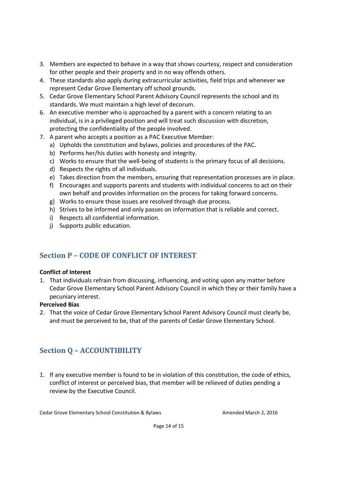- 3. Members are expected to behave in a way that shows courtesy, respect and consideration for other people and their property and in no way offends others.
- 4. These standards also apply during extracurricular activities, field trips and whenever we represent Cedar Grove Elementary off school grounds.
- 5. Cedar Grove Elementary School Parent Advisory Council represents the school and its standards. We must maintain a high level of decorum.
- 6. An executive member who is approached by a parent with a concern relating to an individual, is in a privileged position and will treat such discussion with discretion, protecting the confidentiality of the people involved.
- 7. A parent who accepts a position as a PAC Executive Member:
	- a) Upholds the constitution and bylaws, policies and procedures of the PAC.
	- b) Performs her/his duties with honesty and integrity.
	- c) Works to ensure that the well-being of students is the primary focus of all decisions.
	- d) Respects the rights of all individuals.
	- e) Takes direction from the members, ensuring that representation processes are in place.
	- f) Encourages and supports parents and students with individual concerns to act on their own behalf and provides information on the process for taking forward concerns.
	- g) Works to ensure those issues are resolved through due process.
	- h) Strives to be informed and only passes on information that is reliable and correct.
	- i) Respects all confidential information.
	- j) Supports public education.

# **Section P – CODE OF CONFLICT OF INTEREST**

#### **Conflict of Interest**

1. That individuals refrain from discussing, influencing, and voting upon any matter before Cedar Grove Elementary School Parent Advisory Council in which they or their family have a pecuniary interest.

#### **Perceived Bias**

2. That the voice of Cedar Grove Elementary School Parent Advisory Council must clearly be, and must be perceived to be, that of the parents of Cedar Grove Elementary School.

# **Section Q – ACCOUNTIBILITY**

1. If any executive member is found to be in violation of this constitution, the code of ethics, conflict of interest or perceived bias, that member will be relieved of duties pending a review by the Executive Council.